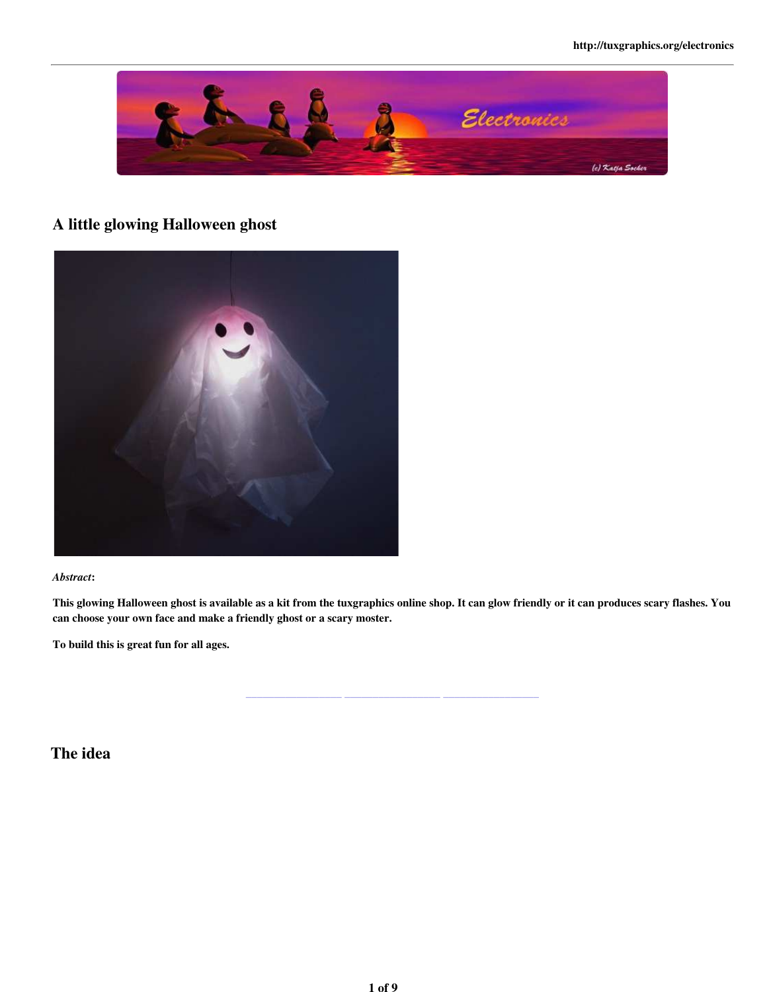

## A little glowing Halloween ghost



*Abstract*:

This glowing Halloween ghost is available as a kit from the tuxgraphics online shop. It can glow friendly or it can produces scary flashes. You can choose your own face and make a friendly ghost or a scary moster.

\_\_\_\_\_\_\_\_\_\_\_\_\_\_\_\_\_ \_\_\_\_\_\_\_\_\_\_\_\_\_\_\_\_\_ \_\_\_\_\_\_\_\_\_\_\_\_\_\_\_\_\_

To build this is great fun for all ages.

The idea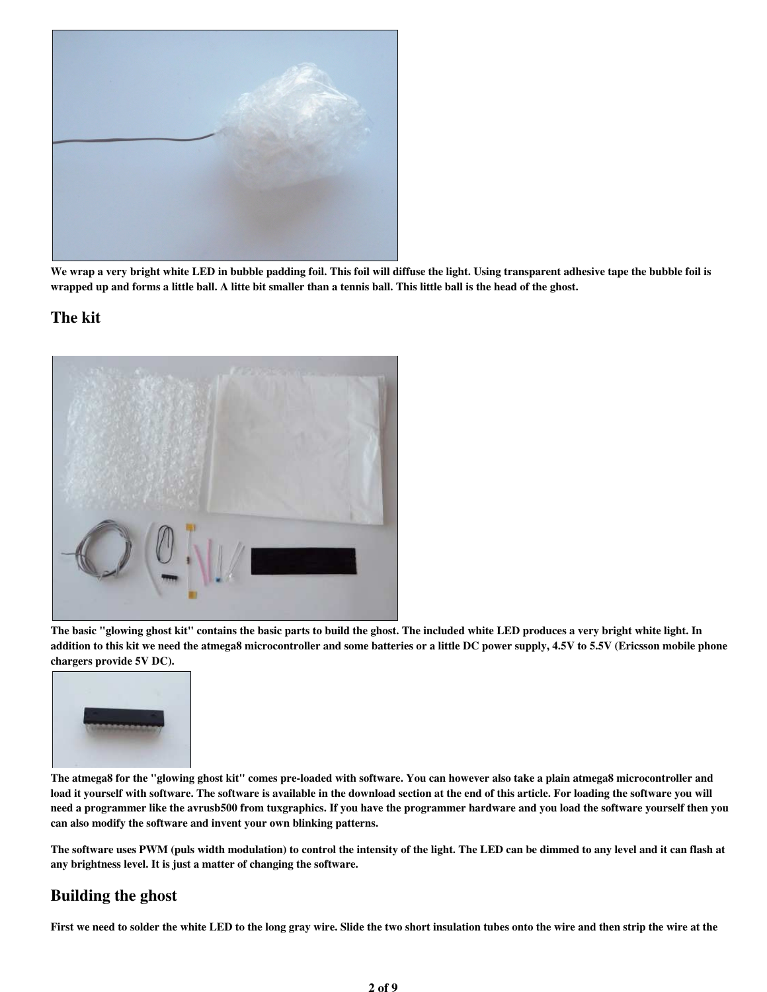

We wrap a very bright white LED in bubble padding foil. This foil will diffuse the light. Using transparent adhesive tape the bubble foil is wrapped up and forms a little ball. A litte bit smaller than a tennis ball. This little ball is the head of the ghost.

#### The kit



The basic "glowing ghost kit" contains the basic parts to build the ghost. The included white LED produces a very bright white light. In addition to this kit we need the atmega8 microcontroller and some batteries or a little DC power supply, 4.5V to 5.5V (Ericsson mobile phone chargers provide 5V DC).



The atmega8 for the "glowing ghost kit" comes pre-loaded with software. You can however also take a plain atmega8 microcontroller and load it yourself with software. The software is available in the download section at the end of this article. For loading the software you will need a programmer like the avrusb500 from tuxgraphics. If you have the programmer hardware and you load the software yourself then you can also modify the software and invent your own blinking patterns.

The software uses PWM (puls width modulation) to control the intensity of the light. The LED can be dimmed to any level and it can flash at any brightness level. It is just a matter of changing the software.

# Building the ghost

First we need to solder the white LED to the long gray wire. Slide the two short insulation tubes onto the wire and then strip the wire at the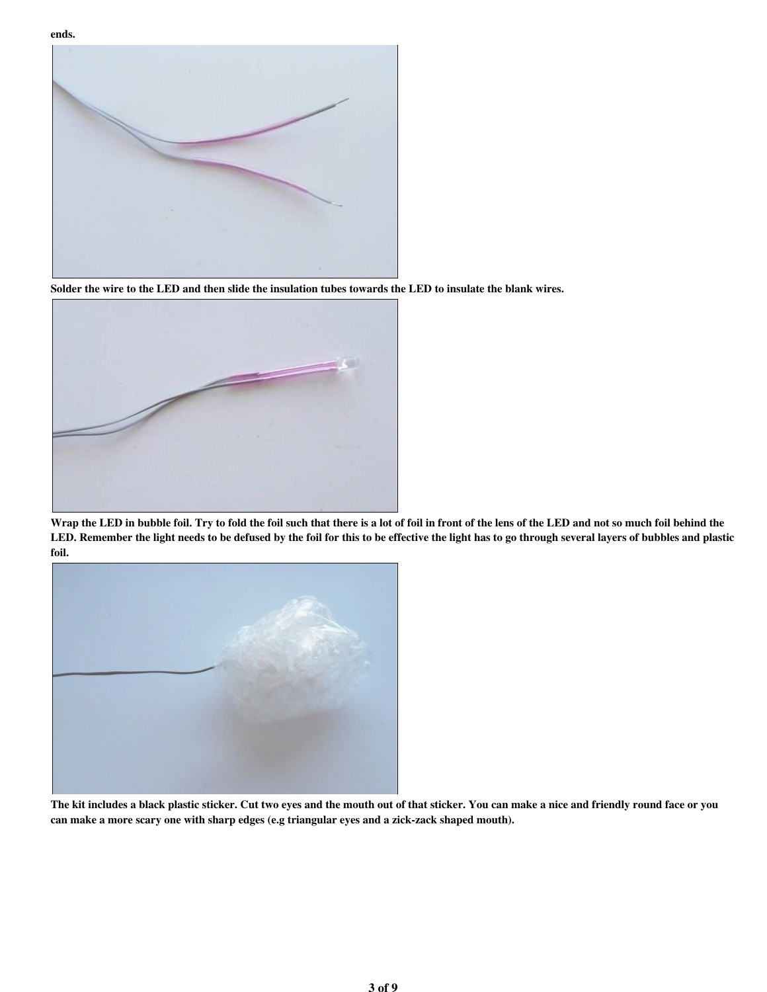ends.



Solder the wire to the LED and then slide the insulation tubes towards the LED to insulate the blank wires.



Wrap the LED in bubble foil. Try to fold the foil such that there is a lot of foil in front of the lens of the LED and not so much foil behind the LED. Remember the light needs to be defused by the foil for this to be effective the light has to go through several layers of bubbles and plastic foil.



The kit includes a black plastic sticker. Cut two eyes and the mouth out of that sticker. You can make a nice and friendly round face or you can make a more scary one with sharp edges (e.g triangular eyes and a zick-zack shaped mouth).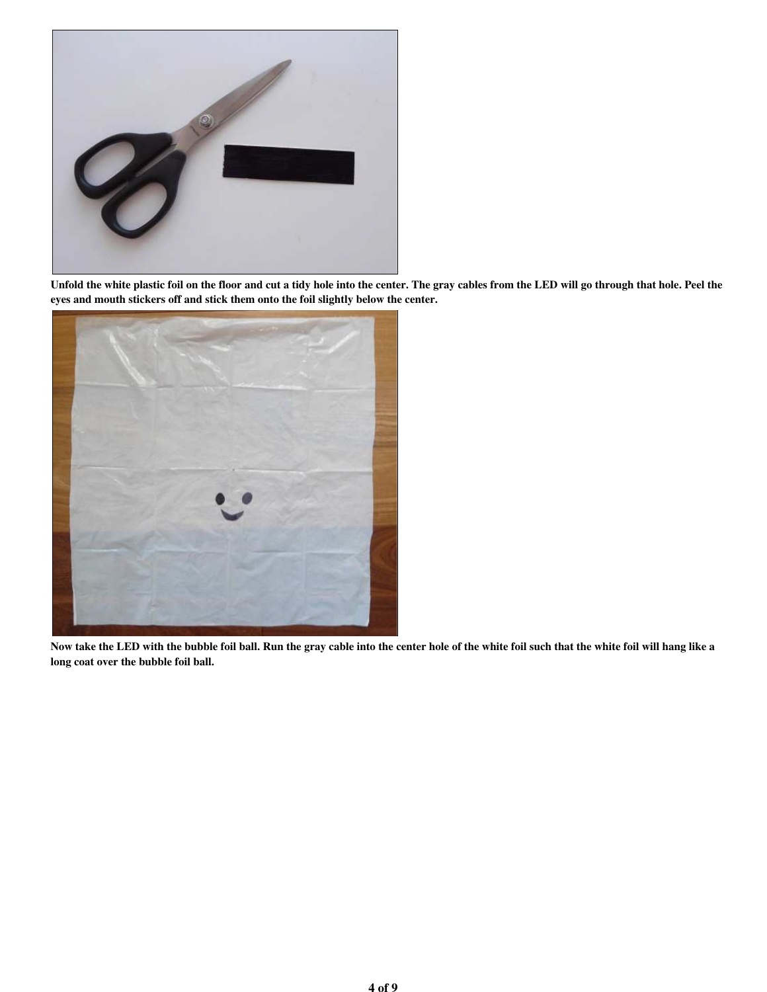

Unfold the white plastic foil on the floor and cut a tidy hole into the center. The gray cables from the LED will go through that hole. Peel the eyes and mouth stickers off and stick them onto the foil slightly below the center.



Now take the LED with the bubble foil ball. Run the gray cable into the center hole of the white foil such that the white foil will hang like a long coat over the bubble foil ball.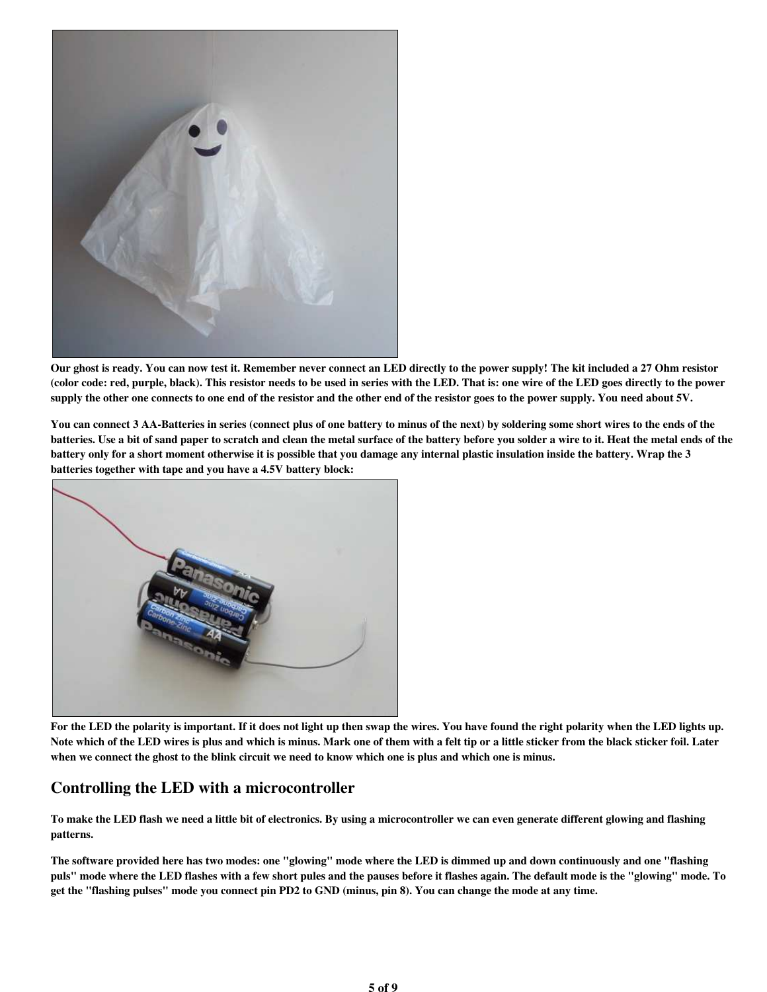

Our ghost is ready. You can now test it. Remember never connect an LED directly to the power supply! The kit included a 27 Ohm resistor (color code: red, purple, black). This resistor needs to be used in series with the LED. That is: one wire of the LED goes directly to the power supply the other one connects to one end of the resistor and the other end of the resistor goes to the power supply. You need about 5V.

You can connect 3 AA-Batteries in series (connect plus of one battery to minus of the next) by soldering some short wires to the ends of the batteries. Use a bit of sand paper to scratch and clean the metal surface of the battery before you solder a wire to it. Heat the metal ends of the battery only for a short moment otherwise it is possible that you damage any internal plastic insulation inside the battery. Wrap the 3 batteries together with tape and you have a 4.5V battery block:



For the LED the polarity is important. If it does not light up then swap the wires. You have found the right polarity when the LED lights up. Note which of the LED wires is plus and which is minus. Mark one of them with a felt tip or a little sticker from the black sticker foil. Later when we connect the ghost to the blink circuit we need to know which one is plus and which one is minus.

#### Controlling the LED with a microcontroller

To make the LED flash we need a little bit of electronics. By using a microcontroller we can even generate different glowing and flashing patterns.

The software provided here has two modes: one "glowing" mode where the LED is dimmed up and down continuously and one "flashing puls" mode where the LED flashes with a few short pules and the pauses before it flashes again. The default mode is the "glowing" mode. To get the "flashing pulses" mode you connect pin PD2 to GND (minus, pin 8). You can change the mode at any time.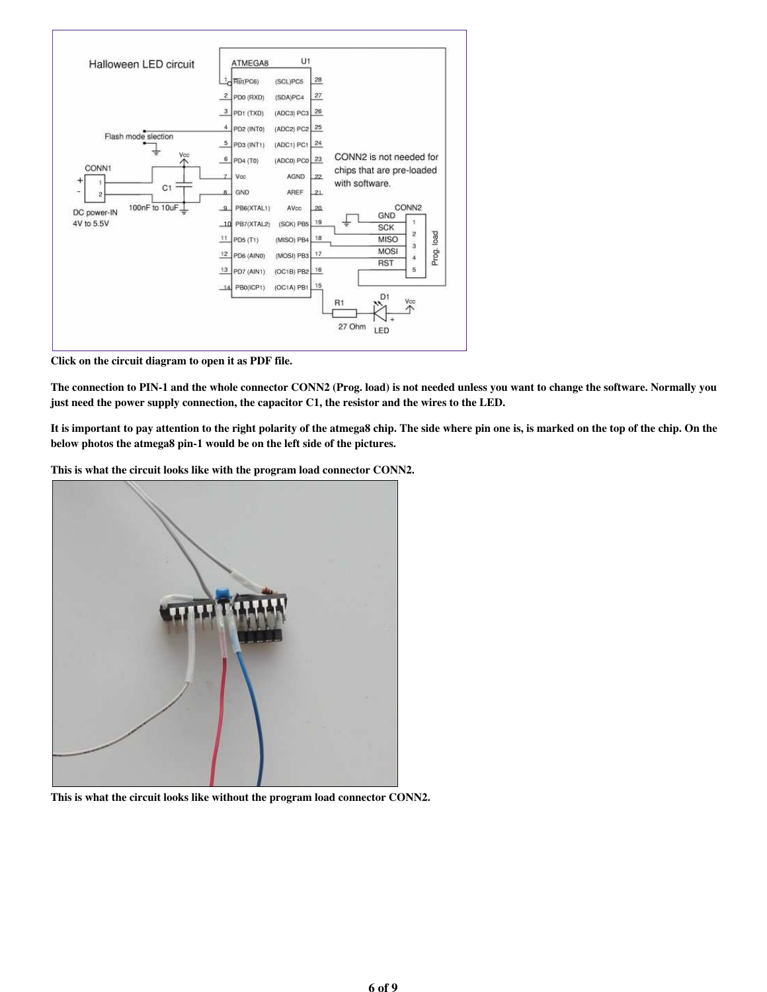

Click on the circuit diagram to open it as PDF file.

The connection to PIN-1 and the whole connector CONN2 (Prog. load) is not needed unless you want to change the software. Normally you just need the power supply connection, the capacitor C1, the resistor and the wires to the LED.

It is important to pay attention to the right polarity of the atmega8 chip. The side where pin one is, is marked on the top of the chip. On the below photos the atmega8 pin-1 would be on the left side of the pictures.

This is what the circuit looks like with the program load connector CONN2.



This is what the circuit looks like without the program load connector CONN2.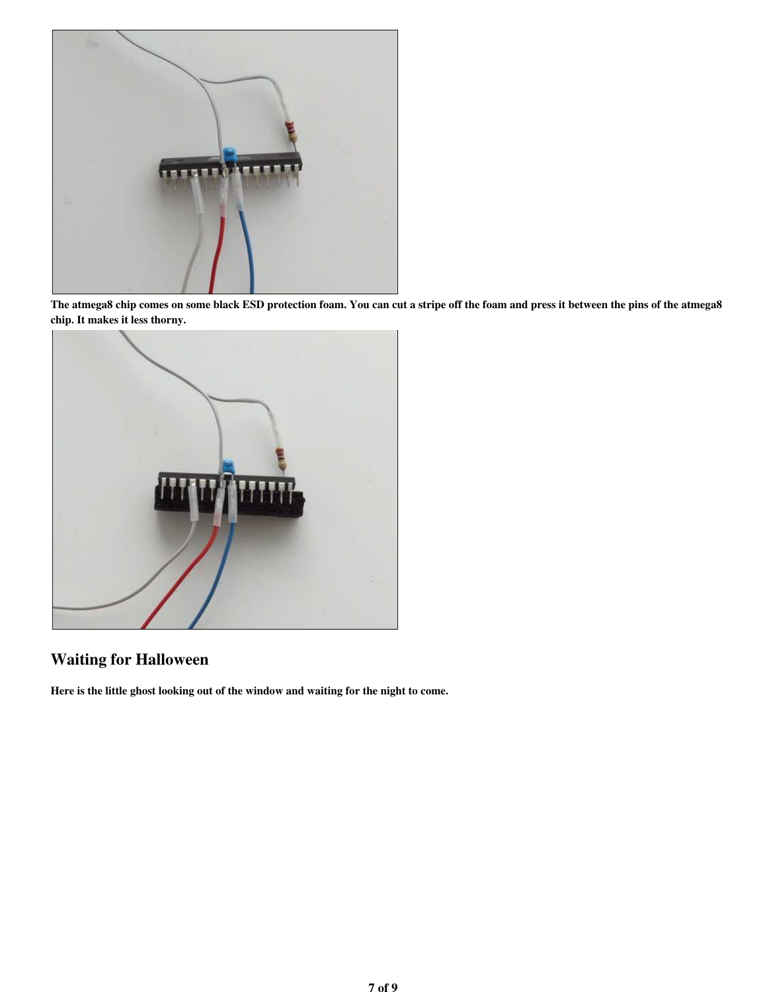

The atmega8 chip comes on some black ESD protection foam. You can cut a stripe off the foam and press it between the pins of the atmega8 chip. It makes it less thorny.



# Waiting for Halloween

Here is the little ghost looking out of the window and waiting for the night to come.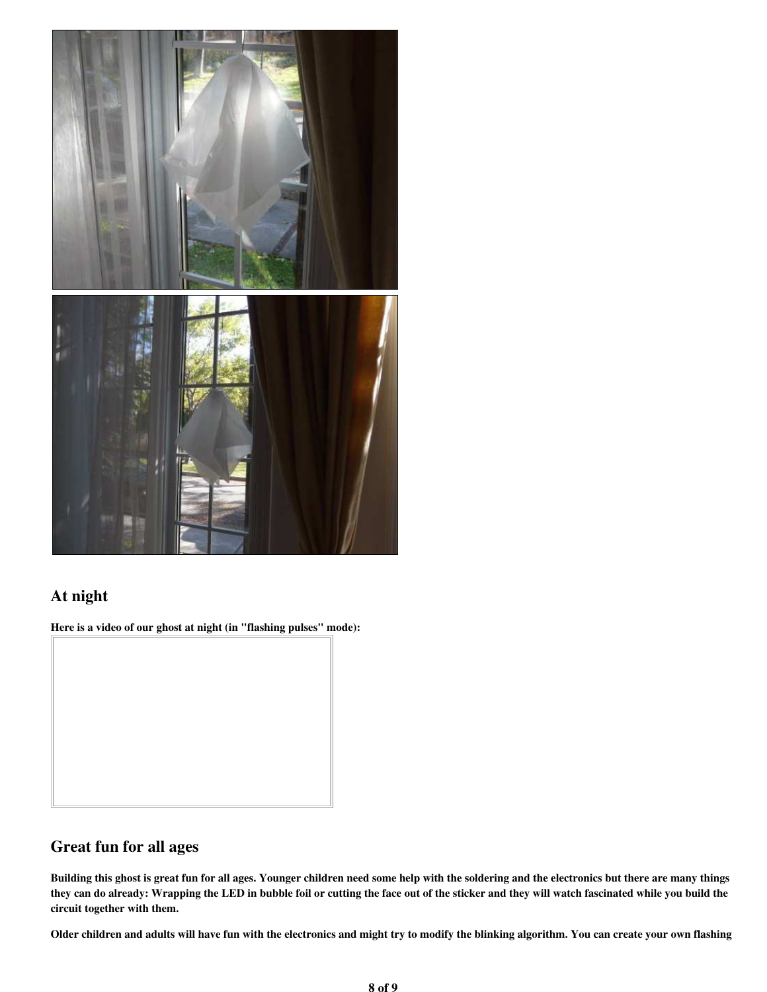

# At night

Here is a video of our ghost at night (in "flashing pulses" mode):



# Great fun for all ages

Building this ghost is great fun for all ages. Younger children need some help with the soldering and the electronics but there are many things they can do already: Wrapping the LED in bubble foil or cutting the face out of the sticker and they will watch fascinated while you build the circuit together with them.

Older children and adults will have fun with the electronics and might try to modify the blinking algorithm. You can create your own flashing